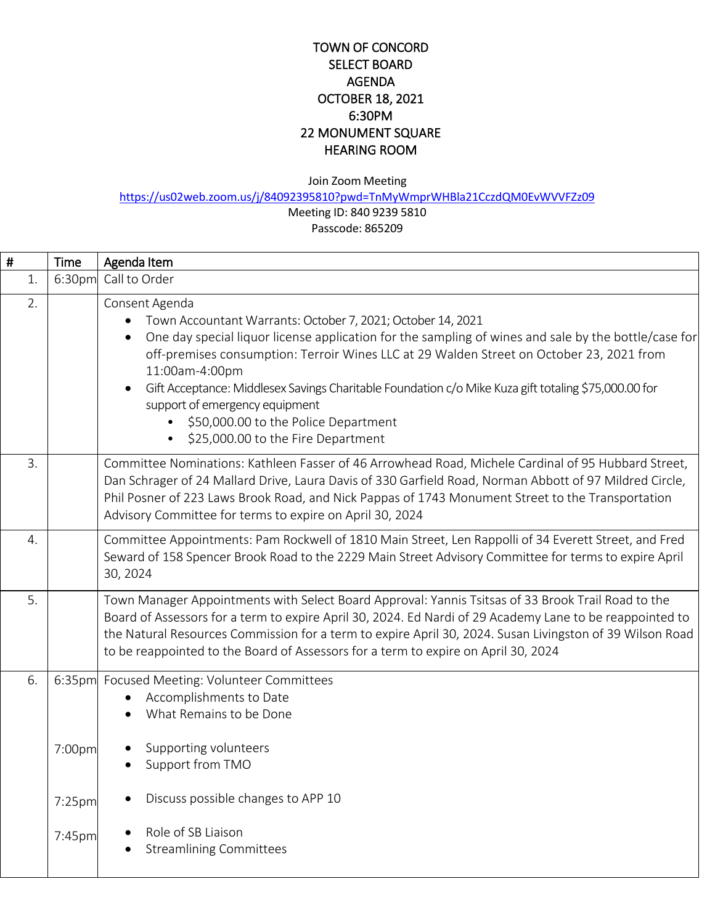### TOWN OF CONCORD SELECT BOARD AGENDA OCTOBER 18, 2021 6:30PM 22 MONUMENT SQUARE HEARING ROOM

Join Zoom Meeting

<https://us02web.zoom.us/j/84092395810?pwd=TnMyWmprWHBla21CczdQM0EvWVVFZz09>

Meeting ID: 840 9239 5810 Passcode: 865209

| #  | Time   | Agenda Item                                                                                                                                                                                                                                                                                                                                                                                                                                                                                                                                           |  |
|----|--------|-------------------------------------------------------------------------------------------------------------------------------------------------------------------------------------------------------------------------------------------------------------------------------------------------------------------------------------------------------------------------------------------------------------------------------------------------------------------------------------------------------------------------------------------------------|--|
| 1. | 6:30pm | Call to Order                                                                                                                                                                                                                                                                                                                                                                                                                                                                                                                                         |  |
| 2. |        | Consent Agenda<br>Town Accountant Warrants: October 7, 2021; October 14, 2021<br>One day special liquor license application for the sampling of wines and sale by the bottle/case for<br>$\bullet$<br>off-premises consumption: Terroir Wines LLC at 29 Walden Street on October 23, 2021 from<br>11:00am-4:00pm<br>Gift Acceptance: Middlesex Savings Charitable Foundation c/o Mike Kuza gift totaling \$75,000.00 for<br>$\bullet$<br>support of emergency equipment<br>\$50,000.00 to the Police Department<br>\$25,000.00 to the Fire Department |  |
| 3. |        | Committee Nominations: Kathleen Fasser of 46 Arrowhead Road, Michele Cardinal of 95 Hubbard Street,<br>Dan Schrager of 24 Mallard Drive, Laura Davis of 330 Garfield Road, Norman Abbott of 97 Mildred Circle,<br>Phil Posner of 223 Laws Brook Road, and Nick Pappas of 1743 Monument Street to the Transportation<br>Advisory Committee for terms to expire on April 30, 2024                                                                                                                                                                       |  |
| 4. |        | Committee Appointments: Pam Rockwell of 1810 Main Street, Len Rappolli of 34 Everett Street, and Fred<br>Seward of 158 Spencer Brook Road to the 2229 Main Street Advisory Committee for terms to expire April<br>30, 2024                                                                                                                                                                                                                                                                                                                            |  |
| 5. |        | Town Manager Appointments with Select Board Approval: Yannis Tsitsas of 33 Brook Trail Road to the<br>Board of Assessors for a term to expire April 30, 2024. Ed Nardi of 29 Academy Lane to be reappointed to<br>the Natural Resources Commission for a term to expire April 30, 2024. Susan Livingston of 39 Wilson Road<br>to be reappointed to the Board of Assessors for a term to expire on April 30, 2024                                                                                                                                      |  |
| 6. | 7:00pm | 6:35pm Focused Meeting: Volunteer Committees<br>Accomplishments to Date<br>What Remains to be Done<br>Supporting volunteers                                                                                                                                                                                                                                                                                                                                                                                                                           |  |
|    | 7:25pm | Support from TMO<br>Discuss possible changes to APP 10                                                                                                                                                                                                                                                                                                                                                                                                                                                                                                |  |
|    | 7:45pm | Role of SB Liaison<br><b>Streamlining Committees</b>                                                                                                                                                                                                                                                                                                                                                                                                                                                                                                  |  |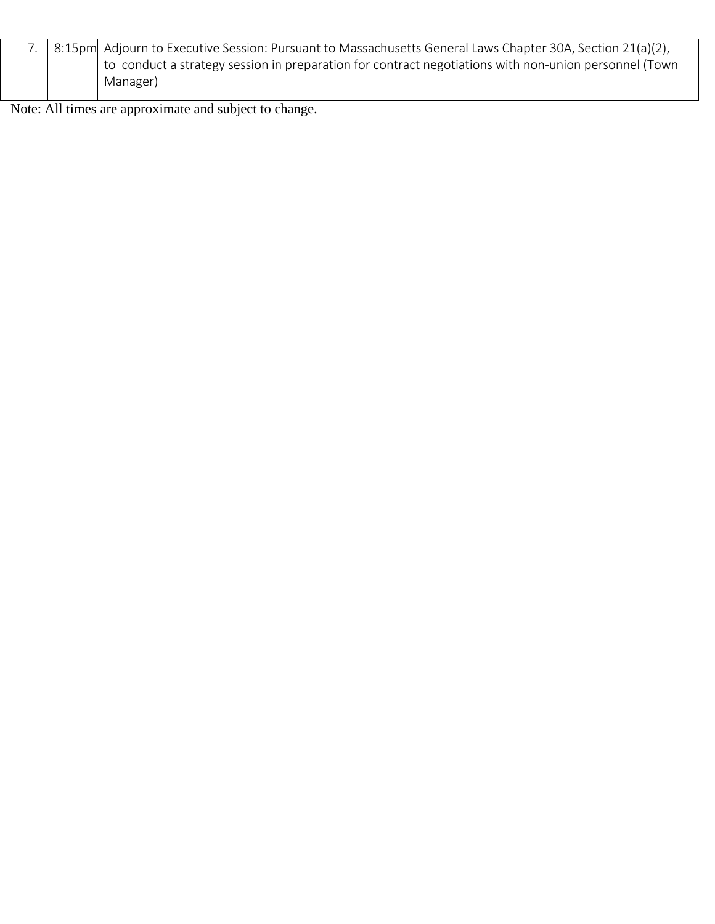|  | 7. 8:15pm Adjourn to Executive Session: Pursuant to Massachusetts General Laws Chapter 30A, Section 21(a)(2), |  |
|--|---------------------------------------------------------------------------------------------------------------|--|
|  | to conduct a strategy session in preparation for contract negotiations with non-union personnel (Town         |  |
|  | Manager)                                                                                                      |  |

Note: All times are approximate and subject to change.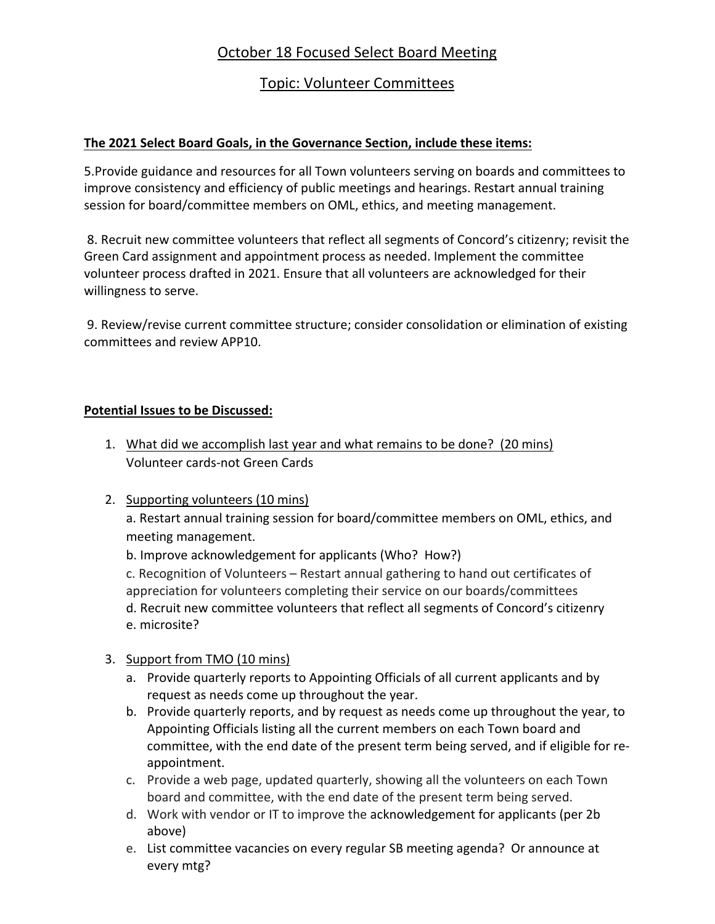# October 18 Focused Select Board Meeting

## Topic: Volunteer Committees

### **The 2021 Select Board Goals, in the Governance Section, include these items:**

5.Provide guidance and resources for all Town volunteers serving on boards and committees to improve consistency and efficiency of public meetings and hearings. Restart annual training session for board/committee members on OML, ethics, and meeting management.

8. Recruit new committee volunteers that reflect all segments of Concord's citizenry; revisit the Green Card assignment and appointment process as needed. Implement the committee volunteer process drafted in 2021. Ensure that all volunteers are acknowledged for their willingness to serve.

9. Review/revise current committee structure; consider consolidation or elimination of existing committees and review APP10.

#### **Potential Issues to be Discussed:**

- 1. What did we accomplish last year and what remains to be done? (20 mins) Volunteer cards-not Green Cards
- 2. Supporting volunteers (10 mins)

a. Restart annual training session for board/committee members on OML, ethics, and meeting management.

b. Improve acknowledgement for applicants (Who? How?)

c. Recognition of Volunteers – Restart annual gathering to hand out certificates of appreciation for volunteers completing their service on our boards/committees d. Recruit new committee volunteers that reflect all segments of Concord's citizenry e. microsite?

### 3. Support from TMO (10 mins)

- a. Provide quarterly reports to Appointing Officials of all current applicants and by request as needs come up throughout the year.
- b. Provide quarterly reports, and by request as needs come up throughout the year, to Appointing Officials listing all the current members on each Town board and committee, with the end date of the present term being served, and if eligible for reappointment.
- c. Provide a web page, updated quarterly, showing all the volunteers on each Town board and committee, with the end date of the present term being served.
- d. Work with vendor or IT to improve the acknowledgement for applicants (per 2b above)
- e. List committee vacancies on every regular SB meeting agenda? Or announce at every mtg?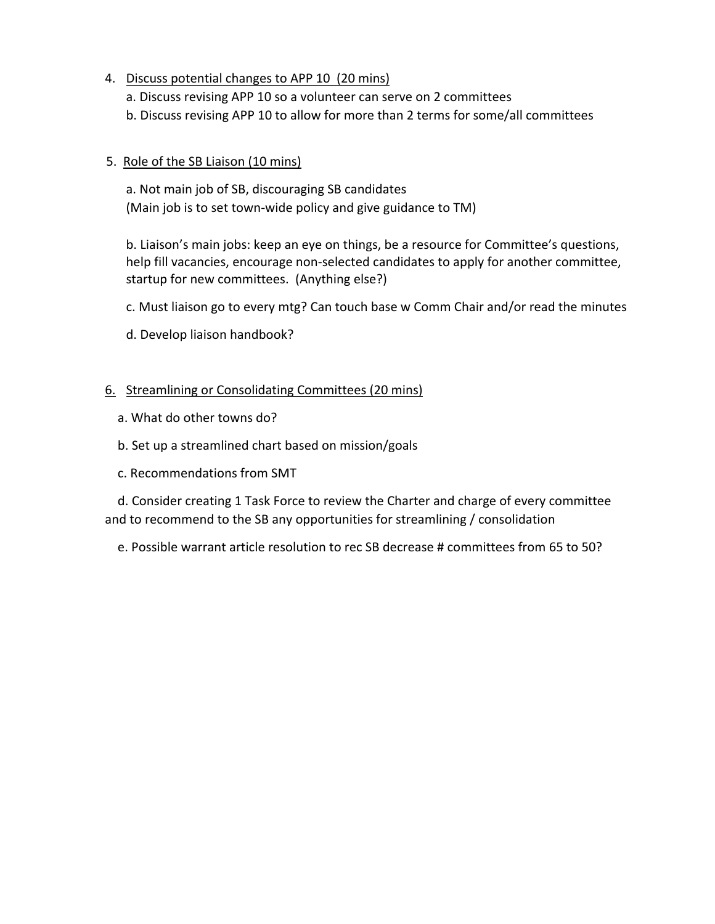- 4. Discuss potential changes to APP 10 (20 mins)
	- a. Discuss revising APP 10 so a volunteer can serve on 2 committees
	- b. Discuss revising APP 10 to allow for more than 2 terms for some/all committees

#### 5. Role of the SB Liaison (10 mins)

a. Not main job of SB, discouraging SB candidates (Main job is to set town-wide policy and give guidance to TM)

b. Liaison's main jobs: keep an eye on things, be a resource for Committee's questions, help fill vacancies, encourage non-selected candidates to apply for another committee, startup for new committees. (Anything else?)

c. Must liaison go to every mtg? Can touch base w Comm Chair and/or read the minutes

d. Develop liaison handbook?

### 6. Streamlining or Consolidating Committees (20 mins)

- a. What do other towns do?
- b. Set up a streamlined chart based on mission/goals
- c. Recommendations from SMT

 d. Consider creating 1 Task Force to review the Charter and charge of every committee and to recommend to the SB any opportunities for streamlining / consolidation

e. Possible warrant article resolution to rec SB decrease # committees from 65 to 50?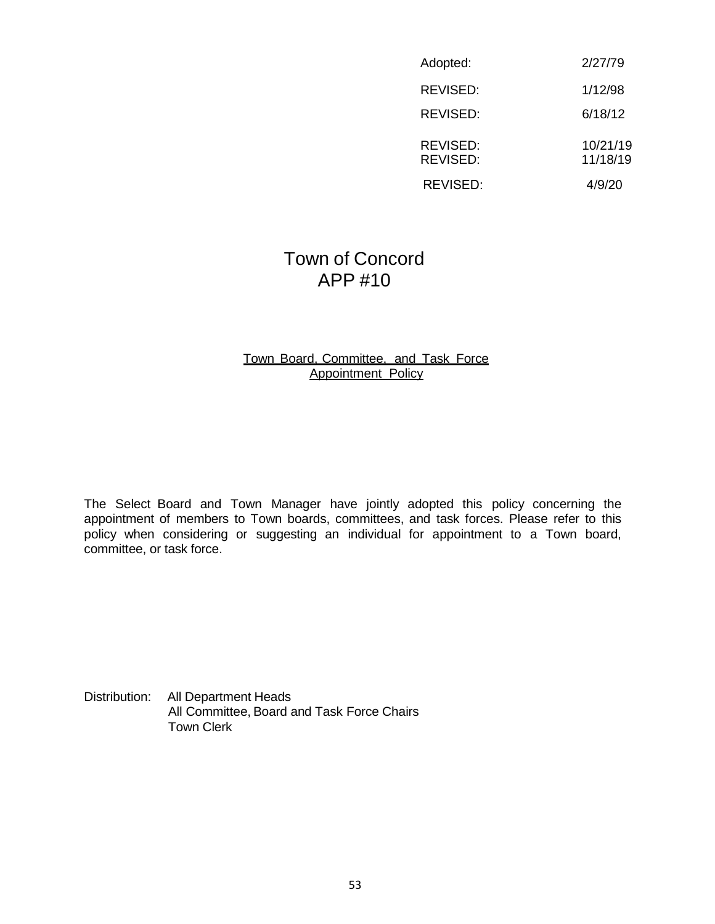| Adopted:             | 2/27/79              |
|----------------------|----------------------|
| REVISED:             | 1/12/98              |
| REVISED:             | 6/18/12              |
| REVISED:<br>REVISED: | 10/21/19<br>11/18/19 |
| REVISED:             | 4/9/20               |

# Town of Concord APP #10

#### Town Board, Committee, and Task Force Appointment Policy

The Select Board and Town Manager have jointly adopted this policy concerning the appointment of members to Town boards, committees, and task forces. Please refer to this policy when considering or suggesting an individual for appointment to a Town board, committee, or task force.

Distribution: All Department Heads All Committee, Board and Task Force Chairs Town Clerk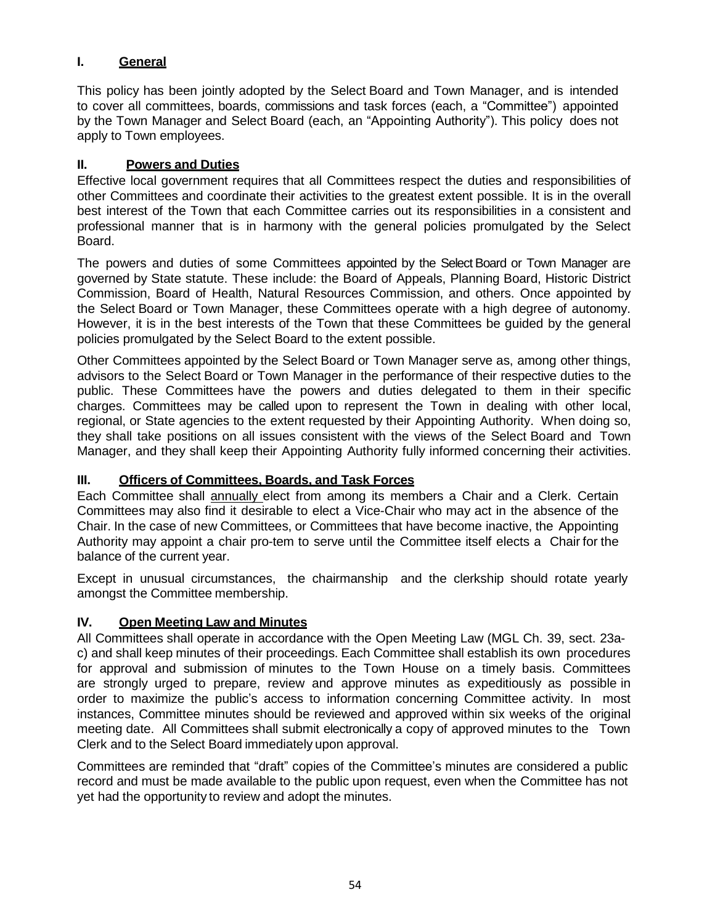### **I. General**

This policy has been jointly adopted by the Select Board and Town Manager, and is intended to cover all committees, boards, commissions and task forces (each, a "Committee") appointed by the Town Manager and Select Board (each, an "Appointing Authority"). This policy does not apply to Town employees.

#### **II. Powers and Duties**

Effective local government requires that all Committees respect the duties and responsibilities of other Committees and coordinate their activities to the greatest extent possible. It is in the overall best interest of the Town that each Committee carries out its responsibilities in a consistent and professional manner that is in harmony with the general policies promulgated by the Select Board.

The powers and duties of some Committees appointed by the Select Board or Town Manager are governed by State statute. These include: the Board of Appeals, Planning Board, Historic District Commission, Board of Health, Natural Resources Commission, and others. Once appointed by the Select Board or Town Manager, these Committees operate with a high degree of autonomy. However, it is in the best interests of the Town that these Committees be guided by the general policies promulgated by the Select Board to the extent possible.

Other Committees appointed by the Select Board or Town Manager serve as, among other things, advisors to the Select Board or Town Manager in the performance of their respective duties to the public. These Committees have the powers and duties delegated to them in their specific charges. Committees may be called upon to represent the Town in dealing with other local, regional, or State agencies to the extent requested by their Appointing Authority. When doing so, they shall take positions on all issues consistent with the views of the Select Board and Town Manager, and they shall keep their Appointing Authority fully informed concerning their activities.

### **III. Officers of Committees, Boards, and Task Forces**

Each Committee shall annually elect from among its members a Chair and a Clerk. Certain Committees may also find it desirable to elect a Vice-Chair who may act in the absence of the Chair. In the case of new Committees, or Committees that have become inactive, the Appointing Authority may appoint a chair pro-tem to serve until the Committee itself elects a Chair for the balance of the current year.

Except in unusual circumstances, the chairmanship and the clerkship should rotate yearly amongst the Committee membership.

### **IV. Open Meeting Law and Minutes**

All Committees shall operate in accordance with the Open Meeting Law (MGL Ch. 39, sect. 23ac) and shall keep minutes of their proceedings. Each Committee shall establish its own procedures for approval and submission of minutes to the Town House on a timely basis. Committees are strongly urged to prepare, review and approve minutes as expeditiously as possible in order to maximize the public's access to information concerning Committee activity. In most instances, Committee minutes should be reviewed and approved within six weeks of the original meeting date. All Committees shall submit electronically a copy of approved minutes to the Town Clerk and to the Select Board immediately upon approval.

Committees are reminded that "draft" copies of the Committee's minutes are considered a public record and must be made available to the public upon request, even when the Committee has not yet had the opportunity to review and adopt the minutes.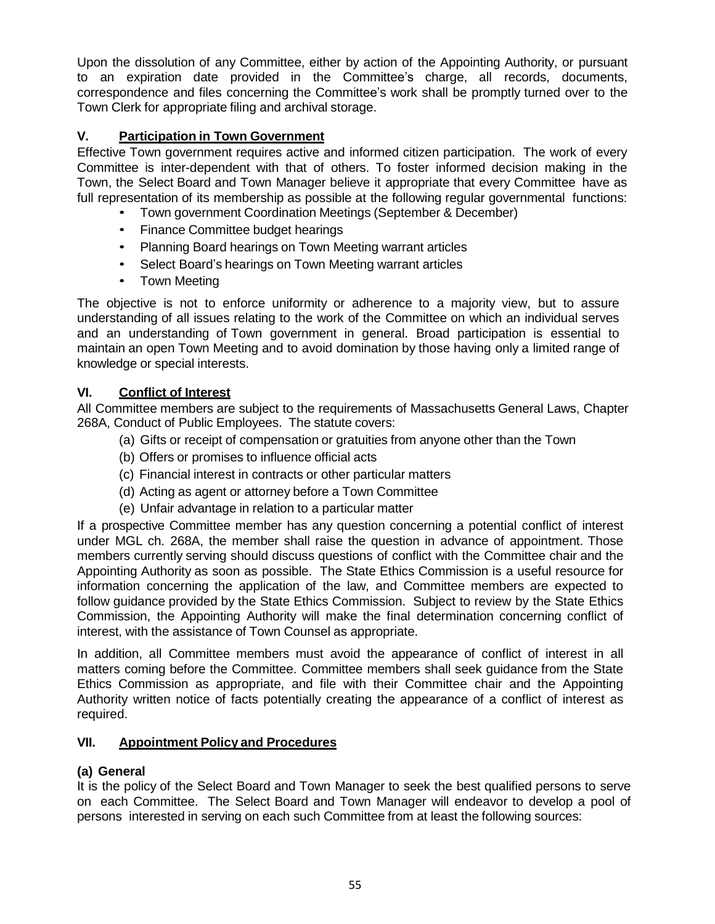Upon the dissolution of any Committee, either by action of the Appointing Authority, or pursuant to an expiration date provided in the Committee's charge, all records, documents, correspondence and files concerning the Committee's work shall be promptly turned over to the Town Clerk for appropriate filing and archival storage.

### **V. Participation in Town Government**

Effective Town government requires active and informed citizen participation. The work of every Committee is inter-dependent with that of others. To foster informed decision making in the Town, the Select Board and Town Manager believe it appropriate that every Committee have as full representation of its membership as possible at the following regular governmental functions:

- Town government Coordination Meetings (September & December)
- Finance Committee budget hearings
- Planning Board hearings on Town Meeting warrant articles
- Select Board's hearings on Town Meeting warrant articles
- Town Meeting

The objective is not to enforce uniformity or adherence to a majority view, but to assure understanding of all issues relating to the work of the Committee on which an individual serves and an understanding of Town government in general. Broad participation is essential to maintain an open Town Meeting and to avoid domination by those having only a limited range of knowledge or special interests.

### **VI. Conflict of Interest**

All Committee members are subject to the requirements of Massachusetts General Laws, Chapter 268A, Conduct of Public Employees. The statute covers:

- (a) Gifts or receipt of compensation or gratuities from anyone other than the Town
- (b) Offers or promises to influence official acts
- (c) Financial interest in contracts or other particular matters
- (d) Acting as agent or attorney before a Town Committee
- (e) Unfair advantage in relation to a particular matter

If a prospective Committee member has any question concerning a potential conflict of interest under MGL ch. 268A, the member shall raise the question in advance of appointment. Those members currently serving should discuss questions of conflict with the Committee chair and the Appointing Authority as soon as possible. The State Ethics Commission is a useful resource for information concerning the application of the law, and Committee members are expected to follow guidance provided by the State Ethics Commission. Subject to review by the State Ethics Commission, the Appointing Authority will make the final determination concerning conflict of interest, with the assistance of Town Counsel as appropriate.

In addition, all Committee members must avoid the appearance of conflict of interest in all matters coming before the Committee. Committee members shall seek guidance from the State Ethics Commission as appropriate, and file with their Committee chair and the Appointing Authority written notice of facts potentially creating the appearance of a conflict of interest as required.

### **VII. Appointment Policy and Procedures**

### **(a) General**

It is the policy of the Select Board and Town Manager to seek the best qualified persons to serve on each Committee. The Select Board and Town Manager will endeavor to develop a pool of persons interested in serving on each such Committee from at least the following sources: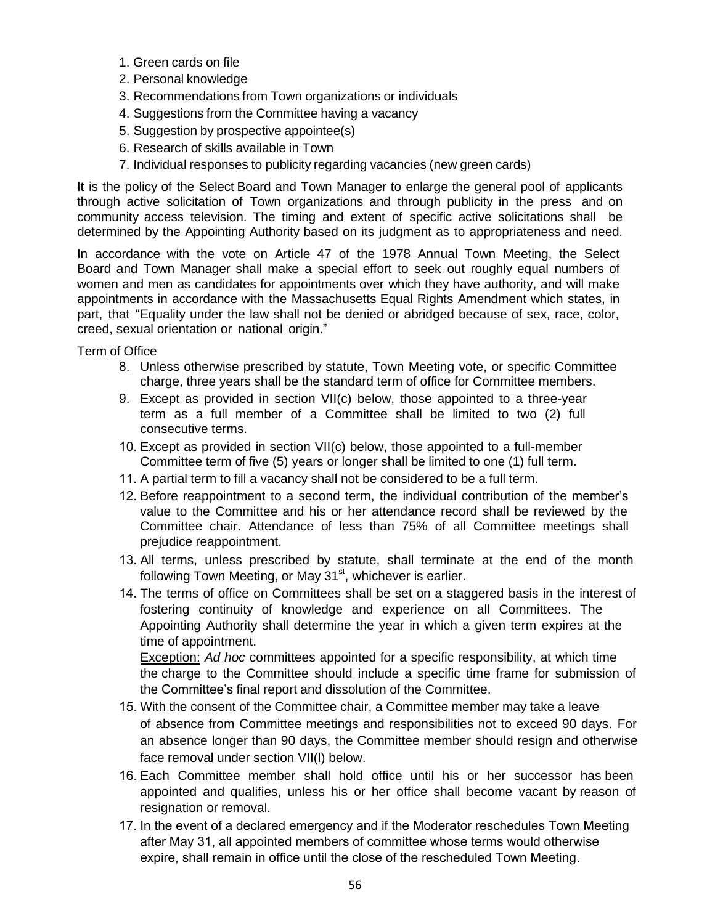- 1. Green cards on file
- 2. Personal knowledge
- 3. Recommendations from Town organizations or individuals
- 4. Suggestions from the Committee having a vacancy
- 5. Suggestion by prospective appointee(s)
- 6. Research of skills available in Town
- 7. Individual responses to publicity regarding vacancies (new green cards)

It is the policy of the Select Board and Town Manager to enlarge the general pool of applicants through active solicitation of Town organizations and through publicity in the press and on community access television. The timing and extent of specific active solicitations shall be determined by the Appointing Authority based on its judgment as to appropriateness and need.

In accordance with the vote on Article 47 of the 1978 Annual Town Meeting, the Select Board and Town Manager shall make a special effort to seek out roughly equal numbers of women and men as candidates for appointments over which they have authority, and will make appointments in accordance with the Massachusetts Equal Rights Amendment which states, in part, that "Equality under the law shall not be denied or abridged because of sex, race, color, creed, sexual orientation or national origin."

Term of Office

- 8. Unless otherwise prescribed by statute, Town Meeting vote, or specific Committee charge, three years shall be the standard term of office for Committee members.
- 9. Except as provided in section VII(c) below, those appointed to a three-year term as a full member of a Committee shall be limited to two (2) full consecutive terms.
- 10. Except as provided in section VII(c) below, those appointed to a full-member Committee term of five (5) years or longer shall be limited to one (1) full term.
- 11. A partial term to fill a vacancy shall not be considered to be a full term.
- 12. Before reappointment to a second term, the individual contribution of the member's value to the Committee and his or her attendance record shall be reviewed by the Committee chair. Attendance of less than 75% of all Committee meetings shall prejudice reappointment.
- 13. All terms, unless prescribed by statute, shall terminate at the end of the month following Town Meeting, or May 31<sup>st</sup>, whichever is earlier.
- 14. The terms of office on Committees shall be set on a staggered basis in the interest of fostering continuity of knowledge and experience on all Committees. The Appointing Authority shall determine the year in which a given term expires at the time of appointment.

Exception: *Ad hoc* committees appointed for a specific responsibility, at which time the charge to the Committee should include a specific time frame for submission of the Committee's final report and dissolution of the Committee.

- 15. With the consent of the Committee chair, a Committee member may take a leave of absence from Committee meetings and responsibilities not to exceed 90 days. For an absence longer than 90 days, the Committee member should resign and otherwise face removal under section VII(l) below.
- 16. Each Committee member shall hold office until his or her successor has been appointed and qualifies, unless his or her office shall become vacant by reason of resignation or removal.
- 17. In the event of a declared emergency and if the Moderator reschedules Town Meeting after May 31, all appointed members of committee whose terms would otherwise expire, shall remain in office until the close of the rescheduled Town Meeting.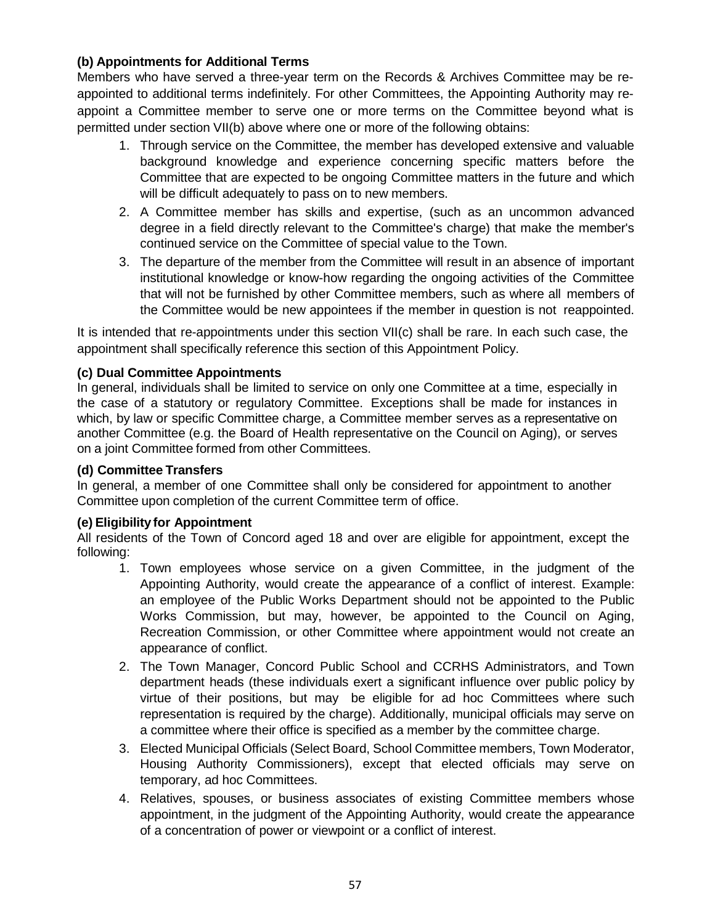### **(b) Appointments for Additional Terms**

Members who have served a three-year term on the Records & Archives Committee may be reappointed to additional terms indefinitely. For other Committees, the Appointing Authority may reappoint a Committee member to serve one or more terms on the Committee beyond what is permitted under section VII(b) above where one or more of the following obtains:

- 1. Through service on the Committee, the member has developed extensive and valuable background knowledge and experience concerning specific matters before the Committee that are expected to be ongoing Committee matters in the future and which will be difficult adequately to pass on to new members.
- 2. A Committee member has skills and expertise, (such as an uncommon advanced degree in a field directly relevant to the Committee's charge) that make the member's continued service on the Committee of special value to the Town.
- 3. The departure of the member from the Committee will result in an absence of important institutional knowledge or know-how regarding the ongoing activities of the Committee that will not be furnished by other Committee members, such as where all members of the Committee would be new appointees if the member in question is not reappointed.

It is intended that re-appointments under this section VII(c) shall be rare. In each such case, the appointment shall specifically reference this section of this Appointment Policy.

#### **(c) Dual Committee Appointments**

In general, individuals shall be limited to service on only one Committee at a time, especially in the case of a statutory or regulatory Committee. Exceptions shall be made for instances in which, by law or specific Committee charge, a Committee member serves as a representative on another Committee (e.g. the Board of Health representative on the Council on Aging), or serves on a joint Committee formed from other Committees.

#### **(d) Committee Transfers**

In general, a member of one Committee shall only be considered for appointment to another Committee upon completion of the current Committee term of office.

#### **(e) Eligibility for Appointment**

All residents of the Town of Concord aged 18 and over are eligible for appointment, except the following:

- 1. Town employees whose service on a given Committee, in the judgment of the Appointing Authority, would create the appearance of a conflict of interest. Example: an employee of the Public Works Department should not be appointed to the Public Works Commission, but may, however, be appointed to the Council on Aging, Recreation Commission, or other Committee where appointment would not create an appearance of conflict.
- 2. The Town Manager, Concord Public School and CCRHS Administrators, and Town department heads (these individuals exert a significant influence over public policy by virtue of their positions, but may be eligible for ad hoc Committees where such representation is required by the charge). Additionally, municipal officials may serve on a committee where their office is specified as a member by the committee charge.
- 3. Elected Municipal Officials (Select Board, School Committee members, Town Moderator, Housing Authority Commissioners), except that elected officials may serve on temporary, ad hoc Committees.
- 4. Relatives, spouses, or business associates of existing Committee members whose appointment, in the judgment of the Appointing Authority, would create the appearance of a concentration of power or viewpoint or a conflict of interest.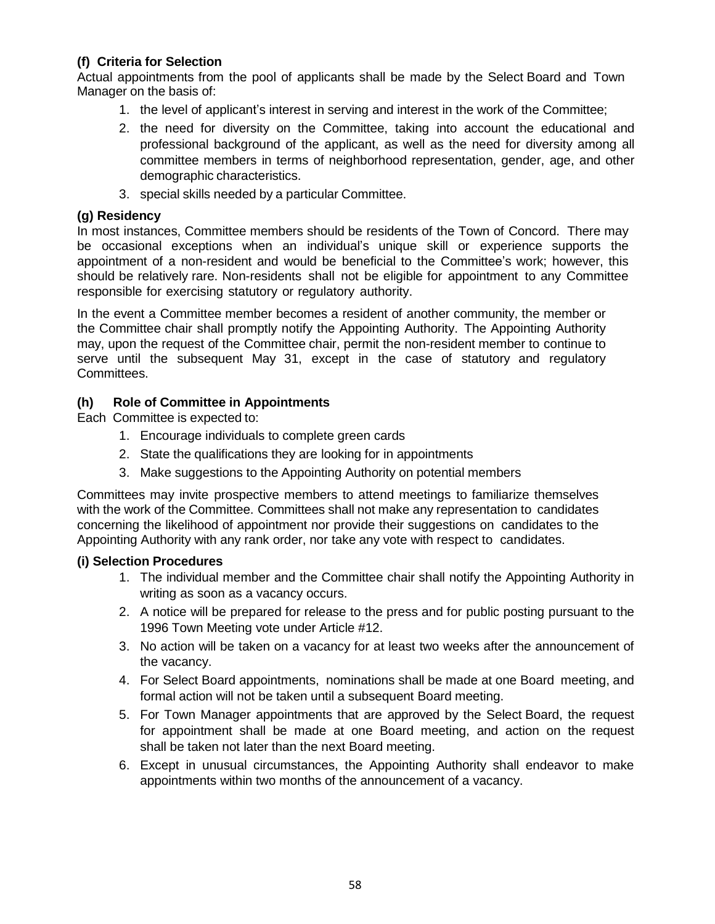#### **(f) Criteria for Selection**

Actual appointments from the pool of applicants shall be made by the Select Board and Town Manager on the basis of:

- 1. the level of applicant's interest in serving and interest in the work of the Committee;
- 2. the need for diversity on the Committee, taking into account the educational and professional background of the applicant, as well as the need for diversity among all committee members in terms of neighborhood representation, gender, age, and other demographic characteristics.
- 3. special skills needed by a particular Committee.

#### **(g) Residency**

In most instances, Committee members should be residents of the Town of Concord. There may be occasional exceptions when an individual's unique skill or experience supports the appointment of a non-resident and would be beneficial to the Committee's work; however, this should be relatively rare. Non-residents shall not be eligible for appointment to any Committee responsible for exercising statutory or regulatory authority.

In the event a Committee member becomes a resident of another community, the member or the Committee chair shall promptly notify the Appointing Authority. The Appointing Authority may, upon the request of the Committee chair, permit the non-resident member to continue to serve until the subsequent May 31, except in the case of statutory and regulatory Committees.

#### **(h) Role of Committee in Appointments**

Each Committee is expected to:

- 1. Encourage individuals to complete green cards
- 2. State the qualifications they are looking for in appointments
- 3. Make suggestions to the Appointing Authority on potential members

Committees may invite prospective members to attend meetings to familiarize themselves with the work of the Committee. Committees shall not make any representation to candidates concerning the likelihood of appointment nor provide their suggestions on candidates to the Appointing Authority with any rank order, nor take any vote with respect to candidates.

#### **(i) Selection Procedures**

- 1. The individual member and the Committee chair shall notify the Appointing Authority in writing as soon as a vacancy occurs.
- 2. A notice will be prepared for release to the press and for public posting pursuant to the 1996 Town Meeting vote under Article #12.
- 3. No action will be taken on a vacancy for at least two weeks after the announcement of the vacancy.
- 4. For Select Board appointments, nominations shall be made at one Board meeting, and formal action will not be taken until a subsequent Board meeting.
- 5. For Town Manager appointments that are approved by the Select Board, the request for appointment shall be made at one Board meeting, and action on the request shall be taken not later than the next Board meeting.
- 6. Except in unusual circumstances, the Appointing Authority shall endeavor to make appointments within two months of the announcement of a vacancy.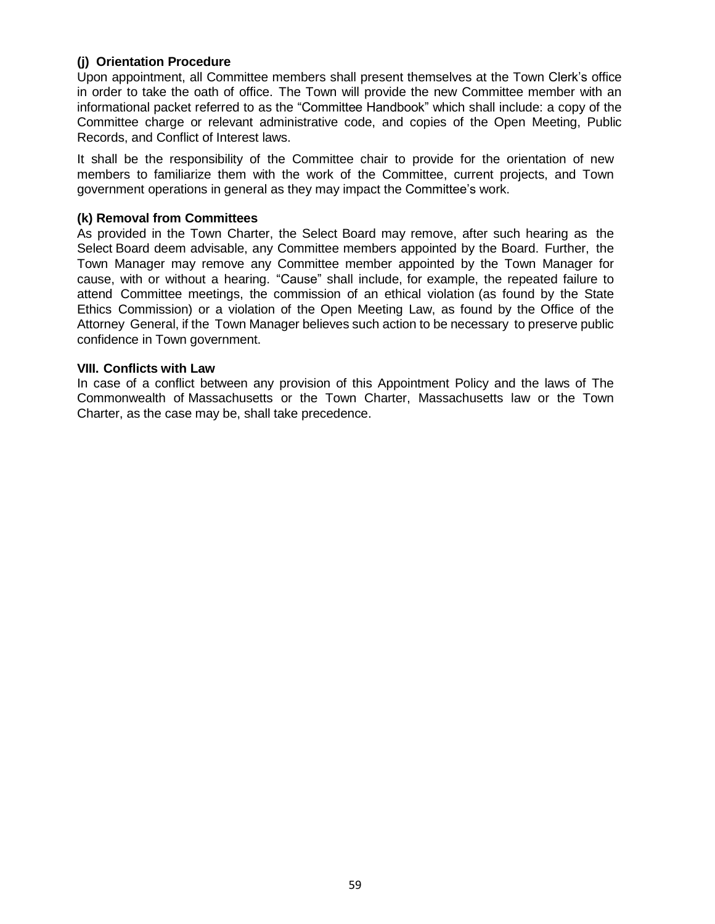#### **(j) Orientation Procedure**

Upon appointment, all Committee members shall present themselves at the Town Clerk's office in order to take the oath of office. The Town will provide the new Committee member with an informational packet referred to as the "Committee Handbook" which shall include: a copy of the Committee charge or relevant administrative code, and copies of the Open Meeting, Public Records, and Conflict of Interest laws.

It shall be the responsibility of the Committee chair to provide for the orientation of new members to familiarize them with the work of the Committee, current projects, and Town government operations in general as they may impact the Committee's work.

#### **(k) Removal from Committees**

As provided in the Town Charter, the Select Board may remove, after such hearing as the Select Board deem advisable, any Committee members appointed by the Board. Further, the Town Manager may remove any Committee member appointed by the Town Manager for cause, with or without a hearing. "Cause" shall include, for example, the repeated failure to attend Committee meetings, the commission of an ethical violation (as found by the State Ethics Commission) or a violation of the Open Meeting Law, as found by the Office of the Attorney General, if the Town Manager believes such action to be necessary to preserve public confidence in Town government.

#### **VIII. Conflicts with Law**

In case of a conflict between any provision of this Appointment Policy and the laws of The Commonwealth of Massachusetts or the Town Charter, Massachusetts law or the Town Charter, as the case may be, shall take precedence.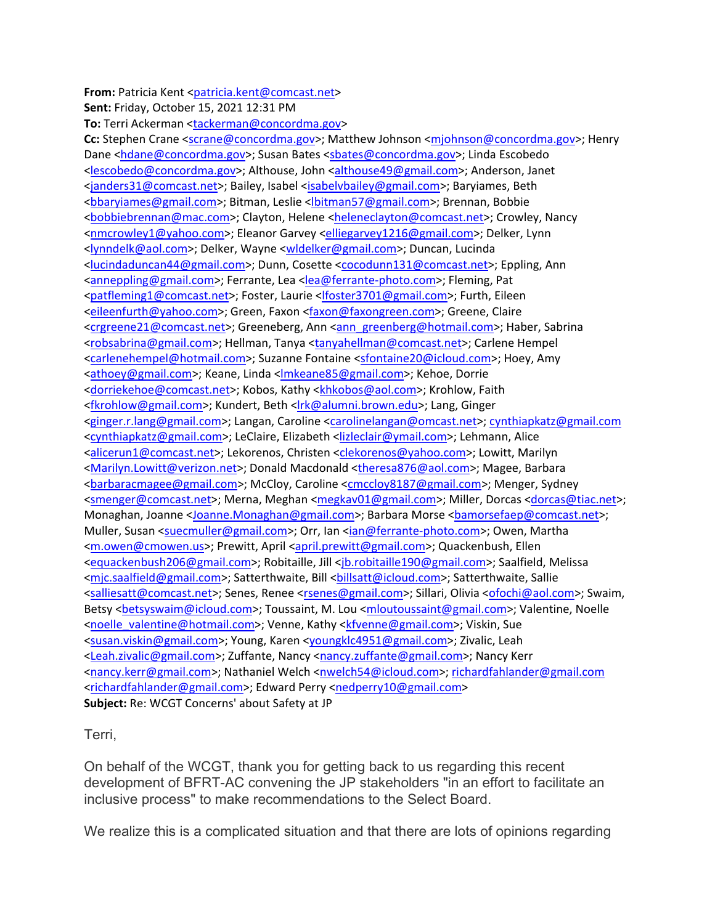**From:** Patricia Kent [<patricia.kent@comcast.net>](mailto:patricia.kent@comcast.net) **Sent:** Friday, October 15, 2021 12:31 PM **To:** Terri Ackerman [<tackerman@concordma.gov>](mailto:tackerman@concordma.gov) **Cc:** Stephen Crane [<scrane@concordma.gov>](mailto:scrane@concordma.gov); Matthew Johnson [<mjohnson@concordma.gov>](mailto:mjohnson@concordma.gov); Henry Dane [<hdane@concordma.gov>](mailto:hdane@concordma.gov); Susan Bates [<sbates@concordma.gov>](mailto:sbates@concordma.gov); Linda Escobedo [<lescobedo@concordma.gov>](mailto:lescobedo@concordma.gov); Althouse, John [<althouse49@gmail.com>](mailto:althouse49@gmail.com); Anderson, Janet [<janders31@comcast.net>](mailto:janders31@comcast.net); Bailey, Isabel [<isabelvbailey@gmail.com>](mailto:isabelvbailey@gmail.com); Baryiames, Beth [<bbaryiames@gmail.com>](mailto:bbaryiames@gmail.com); Bitman, Leslie [<lbitman57@gmail.com>](mailto:lbitman57@gmail.com); Brennan, Bobbie [<bobbiebrennan@mac.com>](mailto:bobbiebrennan@mac.com); Clayton, Helene [<heleneclayton@comcast.net>](mailto:heleneclayton@comcast.net); Crowley, Nancy [<nmcrowley1@yahoo.com>](mailto:nmcrowley1@yahoo.com); Eleanor Garvey [<elliegarvey1216@gmail.com>](mailto:elliegarvey1216@gmail.com); Delker, Lynn [<lynndelk@aol.com>](mailto:lynndelk@aol.com); Delker, Wayne [<wldelker@gmail.com>](mailto:wldelker@gmail.com); Duncan, Lucinda [<lucindaduncan44@gmail.com>](mailto:lucindaduncan44@gmail.com); Dunn, Cosette [<cocodunn131@comcast.net>](mailto:cocodunn131@comcast.net); Eppling, Ann [<anneppling@gmail.com>](mailto:anneppling@gmail.com); Ferrante, Lea [<lea@ferrante-photo.com>](mailto:lea@ferrante-photo.com); Fleming, Pat [<patfleming1@comcast.net>](mailto:patfleming1@comcast.net); Foster, Laurie [<lfoster3701@gmail.com>](mailto:lfoster3701@gmail.com); Furth, Eileen [<eileenfurth@yahoo.com>](mailto:eileenfurth@yahoo.com); Green, Faxon [<faxon@faxongreen.com>](mailto:faxon@faxongreen.com); Greene, Claire [<crgreene21@comcast.net>](mailto:crgreene21@comcast.net); Greeneberg, Ann [<ann\\_greenberg@hotmail.com>](mailto:ann_greenberg@hotmail.com); Haber, Sabrina [<robsabrina@gmail.com>](mailto:robsabrina@gmail.com); Hellman, Tanya [<tanyahellman@comcast.net>](mailto:tanyahellman@comcast.net); Carlene Hempel [<carlenehempel@hotmail.com>](mailto:carlenehempel@hotmail.com); Suzanne Fontaine [<sfontaine20@icloud.com>](mailto:sfontaine20@icloud.com); Hoey, Amy [<athoey@gmail.com>](mailto:athoey@gmail.com); Keane, Linda [<lmkeane85@gmail.com>](mailto:lmkeane85@gmail.com); Kehoe, Dorrie [<dorriekehoe@comcast.net>](mailto:dorriekehoe@comcast.net); Kobos, Kathy [<khkobos@aol.com>](mailto:khkobos@aol.com); Krohlow, Faith [<fkrohlow@gmail.com>](mailto:fkrohlow@gmail.com); Kundert, Beth [<lrk@alumni.brown.edu>](mailto:lrk@alumni.brown.edu); Lang, Ginger [<ginger.r.lang@gmail.com>](mailto:ginger.r.lang@gmail.com); Langan, Caroline [<carolinelangan@omcast.net>](mailto:carolinelangan@omcast.net); [cynthiapkatz@gmail.com](mailto:cynthiapkatz@gmail.com) [<cynthiapkatz@gmail.com>](mailto:cynthiapkatz@gmail.com); LeClaire, Elizabeth [<lizleclair@ymail.com>](mailto:lizleclair@ymail.com); Lehmann, Alice [<alicerun1@comcast.net>](mailto:alicerun1@comcast.net); Lekorenos, Christen [<clekorenos@yahoo.com>](mailto:clekorenos@yahoo.com); Lowitt, Marilyn [<Marilyn.Lowitt@verizon.net>](mailto:Marilyn.Lowitt@verizon.net); Donald Macdonald [<theresa876@aol.com>](mailto:theresa876@aol.com); Magee, Barbara [<barbaracmagee@gmail.com>](mailto:barbaracmagee@gmail.com); McCloy, Caroline [<cmccloy8187@gmail.com>](mailto:cmccloy8187@gmail.com); Menger, Sydney [<smenger@comcast.net>](mailto:smenger@comcast.net); Merna, Meghan [<megkav01@gmail.com>](mailto:megkav01@gmail.com); Miller, Dorcas [<dorcas@tiac.net>](mailto:dorcas@tiac.net); Monaghan, Joanne [<Joanne.Monaghan@gmail.com>](mailto:Joanne.Monaghan@gmail.com); Barbara Morse <br/>bamorsefaep@comcast.net>; Muller, Susan [<suecmuller@gmail.com>](mailto:suecmuller@gmail.com); Orr, Ian [<ian@ferrante-photo.com>](mailto:ian@ferrante-photo.com); Owen, Martha [<m.owen@cmowen.us>](mailto:m.owen@cmowen.us); Prewitt, April [<april.prewitt@gmail.com>](mailto:april.prewitt@gmail.com); Quackenbush, Ellen [<equackenbush206@gmail.com>](mailto:equackenbush206@gmail.com); Robitaille, Jill [<jb.robitaille190@gmail.com>](mailto:jb.robitaille190@gmail.com); Saalfield, Melissa [<mjc.saalfield@gmail.com>](mailto:mjc.saalfield@gmail.com); Satterthwaite, Bill <br/>sillsatt@icloud.com>; Satterthwaite, Sallie [<salliesatt@comcast.net>](mailto:salliesatt@comcast.net); Senes, Renee [<rsenes@gmail.com>](mailto:rsenes@gmail.com); Sillari, Olivia [<ofochi@aol.com>](mailto:ofochi@aol.com); Swaim, Betsy <br />
computed action of Cloud.com>; Toussaint, M. Lou [<mloutoussaint@gmail.com>](mailto:mloutoussaint@gmail.com); Valentine, Noelle [<noelle\\_valentine@hotmail.com>](mailto:noelle_valentine@hotmail.com); Venne, Kathy [<kfvenne@gmail.com>](mailto:kfvenne@gmail.com); Viskin, Sue [<susan.viskin@gmail.com>](mailto:susan.viskin@gmail.com); Young, Karen [<youngklc4951@gmail.com>](mailto:youngklc4951@gmail.com); Zivalic, Leah [<Leah.zivalic@gmail.com>](mailto:Leah.zivalic@gmail.com); Zuffante, Nancy [<nancy.zuffante@gmail.com>](mailto:nancy.zuffante@gmail.com); Nancy Kerr [<nancy.kerr@gmail.com>](mailto:nancy.kerr@gmail.com); Nathaniel Welch [<nwelch54@icloud.com>](mailto:nwelch54@icloud.com); [richardfahlander@gmail.com](mailto:richardfahlander@gmail.com) [<richardfahlander@gmail.com>](mailto:richardfahlander@gmail.com); Edward Perry [<nedperry10@gmail.com>](mailto:nedperry10@gmail.com) **Subject:** Re: WCGT Concerns' about Safety at JP

Terri,

On behalf of the WCGT, thank you for getting back to us regarding this recent development of BFRT-AC convening the JP stakeholders "in an effort to facilitate an inclusive process" to make recommendations to the Select Board.

We realize this is a complicated situation and that there are lots of opinions regarding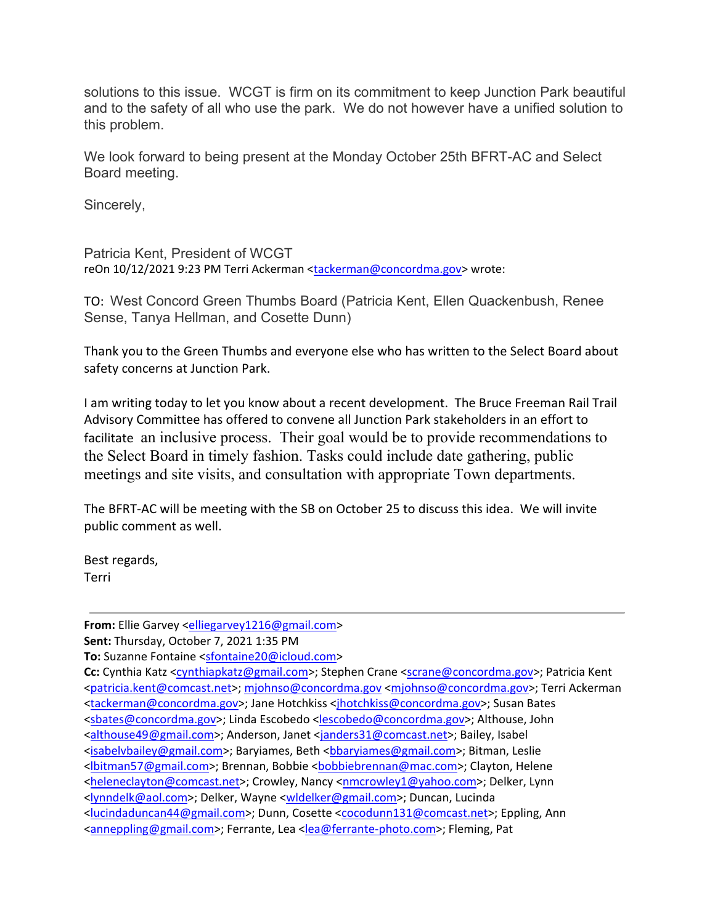solutions to this issue. WCGT is firm on its commitment to keep Junction Park beautiful and to the safety of all who use the park. We do not however have a unified solution to this problem.

We look forward to being present at the Monday October 25th BFRT-AC and Select Board meeting.

Sincerely,

Patricia Kent, President of WCGT reOn 10/12/2021 9:23 PM Terri Ackerman [<tackerman@concordma.gov>](mailto:tackerman@concordma.gov) wrote:

TO: West Concord Green Thumbs Board (Patricia Kent, Ellen Quackenbush, Renee Sense, Tanya Hellman, and Cosette Dunn)

Thank you to the Green Thumbs and everyone else who has written to the Select Board about safety concerns at Junction Park.

I am writing today to let you know about a recent development. The Bruce Freeman Rail Trail Advisory Committee has offered to convene all Junction Park stakeholders in an effort to facilitate an inclusive process. Their goal would be to provide recommendations to the Select Board in timely fashion. Tasks could include date gathering, public meetings and site visits, and consultation with appropriate Town departments.

The BFRT-AC will be meeting with the SB on October 25 to discuss this idea. We will invite public comment as well.

Best regards, Terri

**From:** Ellie Garvey [<elliegarvey1216@gmail.com>](mailto:elliegarvey1216@gmail.com)

**Sent:** Thursday, October 7, 2021 1:35 PM

**To:** Suzanne Fontaine [<sfontaine20@icloud.com>](mailto:sfontaine20@icloud.com)

Cc: Cynthia Katz [<cynthiapkatz@gmail.com>](mailto:cynthiapkatz@gmail.com); Stephen Crane [<scrane@concordma.gov>](mailto:scrane@concordma.gov); Patricia Kent [<patricia.kent@comcast.net>](mailto:patricia.kent@comcast.net); [mjohnso@concordma.gov](mailto:mjohnso@concordma.gov) [<mjohnso@concordma.gov>](mailto:mjohnso@concordma.gov); Terri Ackerman [<tackerman@concordma.gov>](mailto:tackerman@concordma.gov); Jane Hotchkiss [<jhotchkiss@concordma.gov>](mailto:jhotchkiss@concordma.gov); Susan Bates [<sbates@concordma.gov>](mailto:sbates@concordma.gov); Linda Escobedo [<lescobedo@concordma.gov>](mailto:lescobedo@concordma.gov); Althouse, John [<althouse49@gmail.com>](mailto:althouse49@gmail.com); Anderson, Janet [<janders31@comcast.net>](mailto:janders31@comcast.net); Bailey, Isabel [<isabelvbailey@gmail.com>](mailto:isabelvbailey@gmail.com); Baryiames, Beth [<bbaryiames@gmail.com>](mailto:bbaryiames@gmail.com); Bitman, Leslie [<lbitman57@gmail.com>](mailto:lbitman57@gmail.com); Brennan, Bobbie [<bobbiebrennan@mac.com>](mailto:bobbiebrennan@mac.com); Clayton, Helene [<heleneclayton@comcast.net>](mailto:heleneclayton@comcast.net); Crowley, Nancy [<nmcrowley1@yahoo.com>](mailto:nmcrowley1@yahoo.com); Delker, Lynn [<lynndelk@aol.com>](mailto:lynndelk@aol.com); Delker, Wayne [<wldelker@gmail.com>](mailto:wldelker@gmail.com); Duncan, Lucinda [<lucindaduncan44@gmail.com>](mailto:lucindaduncan44@gmail.com); Dunn, Cosette [<cocodunn131@comcast.net>](mailto:cocodunn131@comcast.net); Eppling, Ann [<anneppling@gmail.com>](mailto:anneppling@gmail.com); Ferrante, Lea [<lea@ferrante-photo.com>](mailto:lea@ferrante-photo.com); Fleming, Pat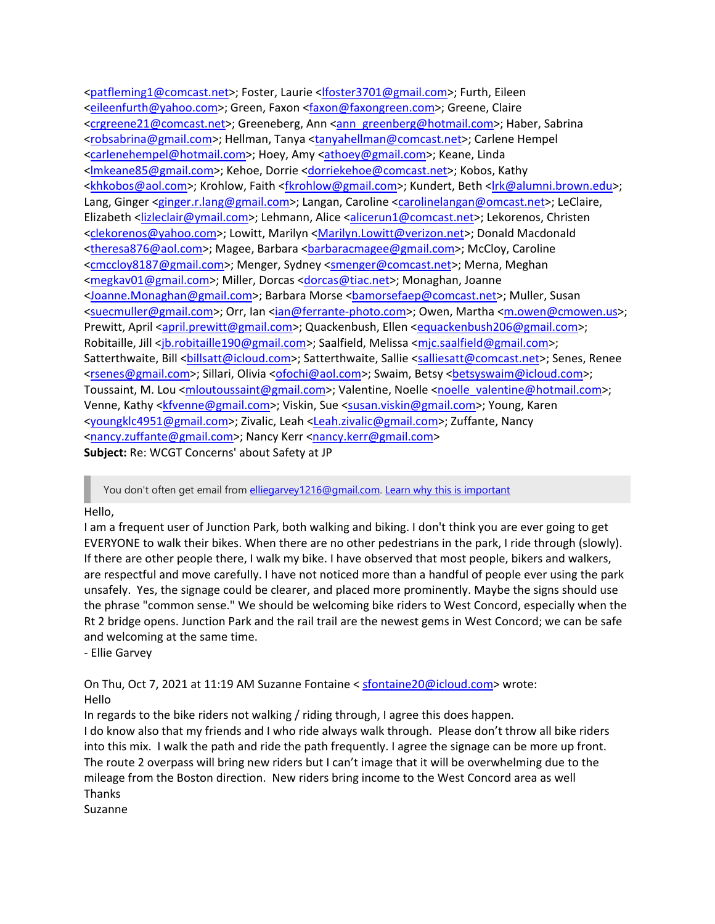[<patfleming1@comcast.net>](mailto:patfleming1@comcast.net); Foster, Laurie [<lfoster3701@gmail.com>](mailto:lfoster3701@gmail.com); Furth, Eileen [<eileenfurth@yahoo.com>](mailto:eileenfurth@yahoo.com); Green, Faxon [<faxon@faxongreen.com>](mailto:faxon@faxongreen.com); Greene, Claire [<crgreene21@comcast.net>](mailto:crgreene21@comcast.net); Greeneberg, Ann [<ann\\_greenberg@hotmail.com>](mailto:ann_greenberg@hotmail.com); Haber, Sabrina [<robsabrina@gmail.com>](mailto:robsabrina@gmail.com); Hellman, Tanya [<tanyahellman@comcast.net>](mailto:tanyahellman@comcast.net); Carlene Hempel [<carlenehempel@hotmail.com>](mailto:carlenehempel@hotmail.com); Hoey, Amy [<athoey@gmail.com>](mailto:athoey@gmail.com); Keane, Linda [<lmkeane85@gmail.com>](mailto:lmkeane85@gmail.com); Kehoe, Dorrie [<dorriekehoe@comcast.net>](mailto:dorriekehoe@comcast.net); Kobos, Kathy [<khkobos@aol.com>](mailto:khkobos@aol.com); Krohlow, Faith [<fkrohlow@gmail.com>](mailto:fkrohlow@gmail.com); Kundert, Beth [<lrk@alumni.brown.edu>](mailto:lrk@alumni.brown.edu); Lang, Ginger [<ginger.r.lang@gmail.com>](mailto:ginger.r.lang@gmail.com); Langan, Caroline [<carolinelangan@omcast.net>](mailto:carolinelangan@omcast.net); LeClaire, Elizabeth [<lizleclair@ymail.com>](mailto:lizleclair@ymail.com); Lehmann, Alice [<alicerun1@comcast.net>](mailto:alicerun1@comcast.net); Lekorenos, Christen [<clekorenos@yahoo.com>](mailto:clekorenos@yahoo.com); Lowitt, Marilyn [<Marilyn.Lowitt@verizon.net>](mailto:Marilyn.Lowitt@verizon.net); Donald Macdonald [<theresa876@aol.com>](mailto:theresa876@aol.com); Magee, Barbara <br/>baracmagee@gmail.com>; McCloy, Caroline [<cmccloy8187@gmail.com>](mailto:cmccloy8187@gmail.com); Menger, Sydney [<smenger@comcast.net>](mailto:smenger@comcast.net); Merna, Meghan [<megkav01@gmail.com>](mailto:megkav01@gmail.com); Miller, Dorcas [<dorcas@tiac.net>](mailto:dorcas@tiac.net); Monaghan, Joanne [<Joanne.Monaghan@gmail.com>](mailto:Joanne.Monaghan@gmail.com); Barbara Morse [<bamorsefaep@comcast.net>](mailto:bamorsefaep@comcast.net); Muller, Susan [<suecmuller@gmail.com>](mailto:suecmuller@gmail.com); Orr, Ian [<ian@ferrante-photo.com>](mailto:ian@ferrante-photo.com); Owen, Martha [<m.owen@cmowen.us>](mailto:m.owen@cmowen.us); Prewitt, April [<april.prewitt@gmail.com>](mailto:april.prewitt@gmail.com); Quackenbush, Ellen [<equackenbush206@gmail.com>](mailto:equackenbush206@gmail.com); Robitaille, Jill [<jb.robitaille190@gmail.com>](mailto:jb.robitaille190@gmail.com); Saalfield, Melissa [<mjc.saalfield@gmail.com>](mailto:mjc.saalfield@gmail.com); Satterthwaite, Bill <br/> <br/> <br/>
<br/>
<br/>
com>; Satterthwaite, Sallie [<salliesatt@comcast.net>](mailto:salliesatt@comcast.net); Senes, Renee<br/>
<br/>
Satterthwaite, Bill <br/>
<br/>
<br/>
<br/>
<br/>
Satterthwaite, Bill <br/>
<br/>
<br/>
<br/> [<rsenes@gmail.com>](mailto:rsenes@gmail.com); Sillari, Olivia [<ofochi@aol.com>](mailto:ofochi@aol.com); Swaim, Betsy [<betsyswaim@icloud.com>](mailto:betsyswaim@icloud.com); Toussaint, M. Lou [<mloutoussaint@gmail.com>](mailto:mloutoussaint@gmail.com); Valentine, Noelle [<noelle\\_valentine@hotmail.com>](mailto:noelle_valentine@hotmail.com); Venne, Kathy [<kfvenne@gmail.com>](mailto:kfvenne@gmail.com); Viskin, Sue [<susan.viskin@gmail.com>](mailto:susan.viskin@gmail.com); Young, Karen [<youngklc4951@gmail.com>](mailto:youngklc4951@gmail.com); Zivalic, Leah [<Leah.zivalic@gmail.com>](mailto:Leah.zivalic@gmail.com); Zuffante, Nancy [<nancy.zuffante@gmail.com>](mailto:nancy.zuffante@gmail.com); Nancy Kerr [<nancy.kerr@gmail.com>](mailto:nancy.kerr@gmail.com) **Subject:** Re: WCGT Concerns' about Safety at JP

You don't often get email from [elliegarvey1216@gmail.com.](mailto:elliegarvey1216@gmail.com) [Learn why this is important](https://protect-us.mimecast.com/s/flVrCG6XwDc1p2DQcKe-EF?domain=aka.ms)

#### Hello,

I am a frequent user of Junction Park, both walking and biking. I don't think you are ever going to get EVERYONE to walk their bikes. When there are no other pedestrians in the park, I ride through (slowly). If there are other people there, I walk my bike. I have observed that most people, bikers and walkers, are respectful and move carefully. I have not noticed more than a handful of people ever using the park unsafely. Yes, the signage could be clearer, and placed more prominently. Maybe the signs should use the phrase "common sense." We should be welcoming bike riders to West Concord, especially when the Rt 2 bridge opens. Junction Park and the rail trail are the newest gems in West Concord; we can be safe and welcoming at the same time.

- Ellie Garvey

On Thu, Oct 7, 2021 at 11:19 AM Suzanne Fontaine [< sfontaine20@icloud.com>](mailto:sfontaine20@icloud.com) wrote: Hello

In regards to the bike riders not walking / riding through, I agree this does happen.

I do know also that my friends and I who ride always walk through. Please don't throw all bike riders into this mix. I walk the path and ride the path frequently. I agree the signage can be more up front. The route 2 overpass will bring new riders but I can't image that it will be overwhelming due to the mileage from the Boston direction. New riders bring income to the West Concord area as well Thanks

Suzanne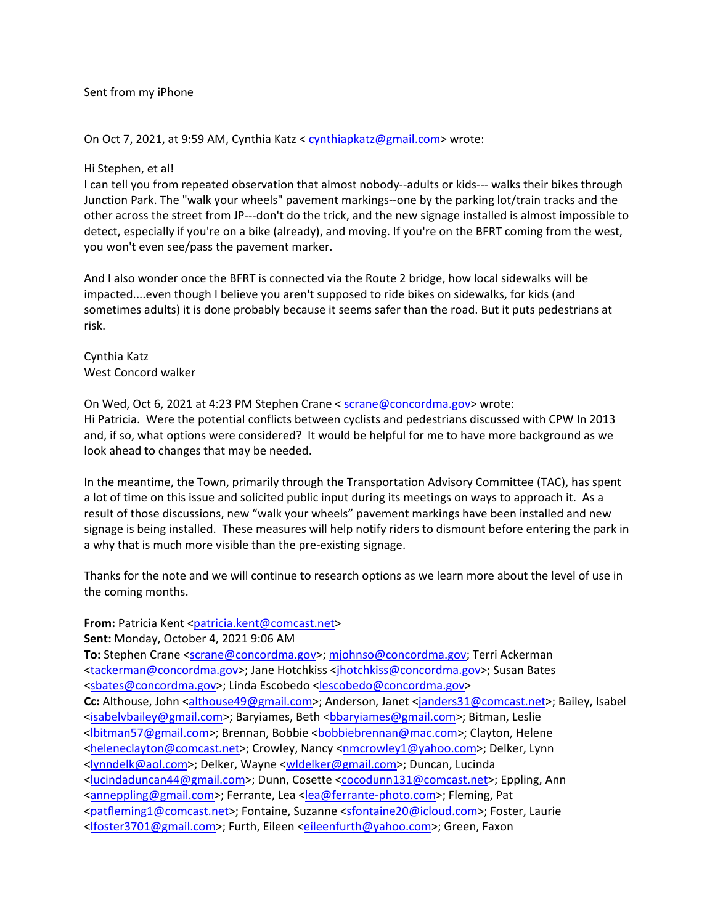Sent from my iPhone

On Oct 7, 2021, at 9:59 AM, Cynthia Katz < [cynthiapkatz@gmail.com>](mailto:cynthiapkatz@gmail.com) wrote:

#### Hi Stephen, et al!

I can tell you from repeated observation that almost nobody--adults or kids--- walks their bikes through Junction Park. The "walk your wheels" pavement markings--one by the parking lot/train tracks and the other across the street from JP---don't do the trick, and the new signage installed is almost impossible to detect, especially if you're on a bike (already), and moving. If you're on the BFRT coming from the west, you won't even see/pass the pavement marker.

And I also wonder once the BFRT is connected via the Route 2 bridge, how local sidewalks will be impacted....even though I believe you aren't supposed to ride bikes on sidewalks, for kids (and sometimes adults) it is done probably because it seems safer than the road. But it puts pedestrians at risk.

Cynthia Katz West Concord walker

On Wed, Oct 6, 2021 at 4:23 PM Stephen Crane < [scrane@concordma.gov>](mailto:scrane@concordma.gov) wrote: Hi Patricia. Were the potential conflicts between cyclists and pedestrians discussed with CPW In 2013 and, if so, what options were considered? It would be helpful for me to have more background as we look ahead to changes that may be needed.

In the meantime, the Town, primarily through the Transportation Advisory Committee (TAC), has spent a lot of time on this issue and solicited public input during its meetings on ways to approach it. As a result of those discussions, new "walk your wheels" pavement markings have been installed and new signage is being installed. These measures will help notify riders to dismount before entering the park in a why that is much more visible than the pre-existing signage.

Thanks for the note and we will continue to research options as we learn more about the level of use in the coming months.

#### **From:** Patricia Kent [<patricia.kent@comcast.net>](mailto:patricia.kent@comcast.net)

**Sent:** Monday, October 4, 2021 9:06 AM

To: Stephen Crane [<scrane@concordma.gov>](mailto:scrane@concordma.gov)[; mjohnso@concordma.gov;](mailto:mjohnso@concordma.gov) Terri Ackerman [<tackerman@concordma.gov>](mailto:tackerman@concordma.gov); Jane Hotchkiss [<jhotchkiss@concordma.gov>](mailto:jhotchkiss@concordma.gov); Susan Bates [<sbates@concordma.gov>](mailto:sbates@concordma.gov); Linda Escobedo [<lescobedo@concordma.gov>](mailto:lescobedo@concordma.gov) **Cc:** Althouse, John [<althouse49@gmail.com>](mailto:althouse49@gmail.com); Anderson, Janet [<janders31@comcast.net>](mailto:janders31@comcast.net); Bailey, Isabel [<isabelvbailey@gmail.com>](mailto:isabelvbailey@gmail.com); Baryiames, Beth [<bbaryiames@gmail.com>](mailto:bbaryiames@gmail.com); Bitman, Leslie [<lbitman57@gmail.com>](mailto:lbitman57@gmail.com); Brennan, Bobbie [<bobbiebrennan@mac.com>](mailto:bobbiebrennan@mac.com); Clayton, Helene [<heleneclayton@comcast.net>](mailto:heleneclayton@comcast.net); Crowley, Nancy [<nmcrowley1@yahoo.com>](mailto:nmcrowley1@yahoo.com); Delker, Lynn [<lynndelk@aol.com>](mailto:lynndelk@aol.com); Delker, Wayne [<wldelker@gmail.com>](mailto:wldelker@gmail.com); Duncan, Lucinda [<lucindaduncan44@gmail.com>](mailto:lucindaduncan44@gmail.com); Dunn, Cosette [<cocodunn131@comcast.net>](mailto:cocodunn131@comcast.net); Eppling, Ann [<anneppling@gmail.com>](mailto:anneppling@gmail.com); Ferrante, Lea [<lea@ferrante-photo.com>](mailto:lea@ferrante-photo.com); Fleming, Pat [<patfleming1@comcast.net>](mailto:patfleming1@comcast.net); Fontaine, Suzanne [<sfontaine20@icloud.com>](mailto:sfontaine20@icloud.com); Foster, Laurie [<lfoster3701@gmail.com>](mailto:lfoster3701@gmail.com); Furth, Eileen [<eileenfurth@yahoo.com>](mailto:eileenfurth@yahoo.com); Green, Faxon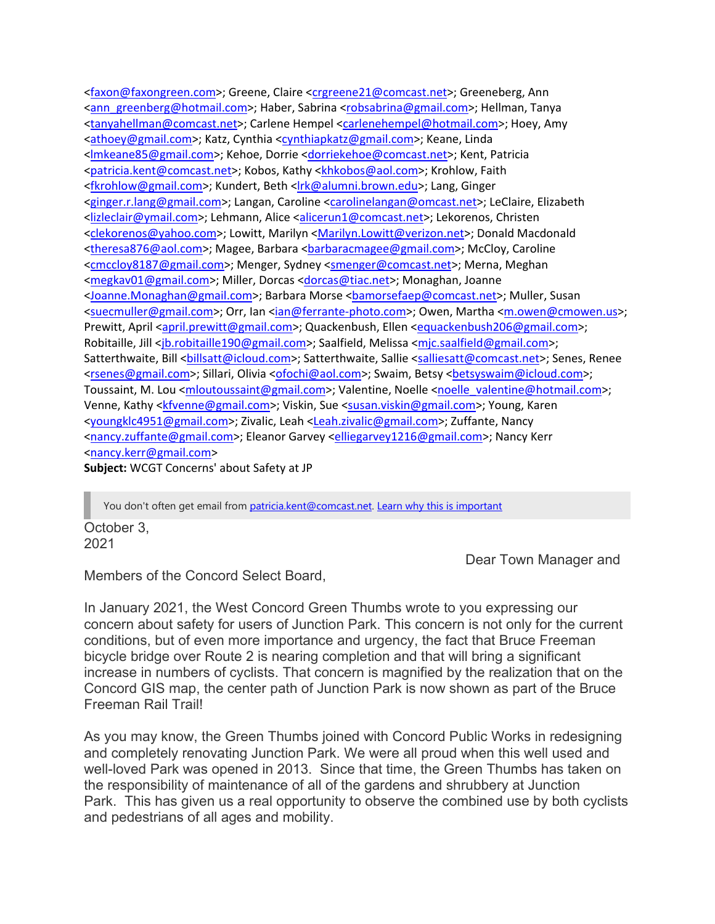[<faxon@faxongreen.com>](mailto:faxon@faxongreen.com); Greene, Claire [<crgreene21@comcast.net>](mailto:crgreene21@comcast.net); Greeneberg, Ann [<ann\\_greenberg@hotmail.com>](mailto:ann_greenberg@hotmail.com); Haber, Sabrina [<robsabrina@gmail.com>](mailto:robsabrina@gmail.com); Hellman, Tanya [<tanyahellman@comcast.net>](mailto:tanyahellman@comcast.net); Carlene Hempel [<carlenehempel@hotmail.com>](mailto:carlenehempel@hotmail.com); Hoey, Amy [<athoey@gmail.com>](mailto:athoey@gmail.com); Katz, Cynthia [<cynthiapkatz@gmail.com>](mailto:cynthiapkatz@gmail.com); Keane, Linda [<lmkeane85@gmail.com>](mailto:lmkeane85@gmail.com); Kehoe, Dorrie [<dorriekehoe@comcast.net>](mailto:dorriekehoe@comcast.net); Kent, Patricia [<patricia.kent@comcast.net>](mailto:patricia.kent@comcast.net); Kobos, Kathy [<khkobos@aol.com>](mailto:khkobos@aol.com); Krohlow, Faith [<fkrohlow@gmail.com>](mailto:fkrohlow@gmail.com); Kundert, Beth [<lrk@alumni.brown.edu>](mailto:lrk@alumni.brown.edu); Lang, Ginger [<ginger.r.lang@gmail.com>](mailto:ginger.r.lang@gmail.com); Langan, Caroline [<carolinelangan@omcast.net>](mailto:carolinelangan@omcast.net); LeClaire, Elizabeth [<lizleclair@ymail.com>](mailto:lizleclair@ymail.com); Lehmann, Alice [<alicerun1@comcast.net>](mailto:alicerun1@comcast.net); Lekorenos, Christen [<clekorenos@yahoo.com>](mailto:clekorenos@yahoo.com); Lowitt, Marilyn [<Marilyn.Lowitt@verizon.net>](mailto:Marilyn.Lowitt@verizon.net); Donald Macdonald [<theresa876@aol.com>](mailto:theresa876@aol.com); Magee, Barbara [<barbaracmagee@gmail.com>](mailto:barbaracmagee@gmail.com); McCloy, Caroline [<cmccloy8187@gmail.com>](mailto:cmccloy8187@gmail.com); Menger, Sydney [<smenger@comcast.net>](mailto:smenger@comcast.net); Merna, Meghan [<megkav01@gmail.com>](mailto:megkav01@gmail.com); Miller, Dorcas [<dorcas@tiac.net>](mailto:dorcas@tiac.net); Monaghan, Joanne [<Joanne.Monaghan@gmail.com>](mailto:Joanne.Monaghan@gmail.com); Barbara Morse [<bamorsefaep@comcast.net>](mailto:bamorsefaep@comcast.net); Muller, Susan [<suecmuller@gmail.com>](mailto:suecmuller@gmail.com); Orr, Ian [<ian@ferrante-photo.com>](mailto:ian@ferrante-photo.com); Owen, Martha [<m.owen@cmowen.us>](mailto:m.owen@cmowen.us); Prewitt, April [<april.prewitt@gmail.com>](mailto:april.prewitt@gmail.com); Quackenbush, Ellen [<equackenbush206@gmail.com>](mailto:equackenbush206@gmail.com); Robitaille, Jill [<jb.robitaille190@gmail.com>](mailto:jb.robitaille190@gmail.com); Saalfield, Melissa [<mjc.saalfield@gmail.com>](mailto:mjc.saalfield@gmail.com); Satterthwaite, Bill <br/> <br/> <br/>
<br/>
<br/>
com>; Satterthwaite, Sallie [<salliesatt@comcast.net>](mailto:salliesatt@comcast.net); Senes, Renee<br/>
</>
</>
Senes, Renee [<rsenes@gmail.com>](mailto:rsenes@gmail.com); Sillari, Olivia [<ofochi@aol.com>](mailto:ofochi@aol.com); Swaim, Betsy [<betsyswaim@icloud.com>](mailto:betsyswaim@icloud.com); Toussaint, M. Lou [<mloutoussaint@gmail.com>](mailto:mloutoussaint@gmail.com); Valentine, Noelle [<noelle\\_valentine@hotmail.com>](mailto:noelle_valentine@hotmail.com); Venne, Kathy [<kfvenne@gmail.com>](mailto:kfvenne@gmail.com); Viskin, Sue [<susan.viskin@gmail.com>](mailto:susan.viskin@gmail.com); Young, Karen [<youngklc4951@gmail.com>](mailto:youngklc4951@gmail.com); Zivalic, Leah [<Leah.zivalic@gmail.com>](mailto:Leah.zivalic@gmail.com); Zuffante, Nancy [<nancy.zuffante@gmail.com>](mailto:nancy.zuffante@gmail.com); Eleanor Garvey [<elliegarvey1216@gmail.com>](mailto:elliegarvey1216@gmail.com); Nancy Kerr [<nancy.kerr@gmail.com>](mailto:nancy.kerr@gmail.com)

**Subject:** WCGT Concerns' about Safety at JP

October 3, 2021 You don't often get email from [patricia.kent@comcast.net.](mailto:patricia.kent@comcast.net) [Learn why this is important](https://protect-us.mimecast.com/s/flVrCG6XwDc1p2DQcKe-EF?domain=aka.ms)

Dear Town Manager and

Members of the Concord Select Board,

In January 2021, the West Concord Green Thumbs wrote to you expressing our concern about safety for users of Junction Park. This concern is not only for the current conditions, but of even more importance and urgency, the fact that Bruce Freeman bicycle bridge over Route 2 is nearing completion and that will bring a significant increase in numbers of cyclists. That concern is magnified by the realization that on the Concord GIS map, the center path of Junction Park is now shown as part of the Bruce Freeman Rail Trail!

As you may know, the Green Thumbs joined with Concord Public Works in redesigning and completely renovating Junction Park. We were all proud when this well used and well-loved Park was opened in 2013. Since that time, the Green Thumbs has taken on the responsibility of maintenance of all of the gardens and shrubbery at Junction Park. This has given us a real opportunity to observe the combined use by both cyclists and pedestrians of all ages and mobility.